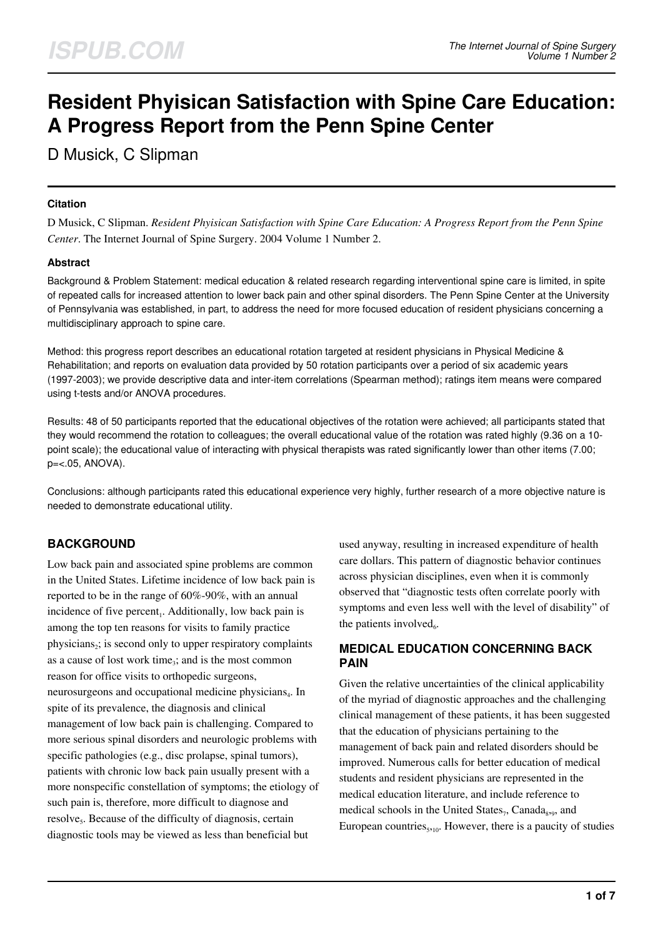# **Resident Phyisican Satisfaction with Spine Care Education: A Progress Report from the Penn Spine Center**

D Musick, C Slipman

### **Citation**

D Musick, C Slipman. *Resident Phyisican Satisfaction with Spine Care Education: A Progress Report from the Penn Spine Center*. The Internet Journal of Spine Surgery. 2004 Volume 1 Number 2.

### **Abstract**

Background & Problem Statement: medical education & related research regarding interventional spine care is limited, in spite of repeated calls for increased attention to lower back pain and other spinal disorders. The Penn Spine Center at the University of Pennsylvania was established, in part, to address the need for more focused education of resident physicians concerning a multidisciplinary approach to spine care.

Method: this progress report describes an educational rotation targeted at resident physicians in Physical Medicine & Rehabilitation; and reports on evaluation data provided by 50 rotation participants over a period of six academic years (1997-2003); we provide descriptive data and inter-item correlations (Spearman method); ratings item means were compared using t-tests and/or ANOVA procedures.

Results: 48 of 50 participants reported that the educational objectives of the rotation were achieved; all participants stated that they would recommend the rotation to colleagues; the overall educational value of the rotation was rated highly (9.36 on a 10 point scale); the educational value of interacting with physical therapists was rated significantly lower than other items (7.00; p=<.05, ANOVA).

Conclusions: although participants rated this educational experience very highly, further research of a more objective nature is needed to demonstrate educational utility.

# **BACKGROUND**

Low back pain and associated spine problems are common in the United States. Lifetime incidence of low back pain is reported to be in the range of 60%-90%, with an annual incidence of five percent<sub>1</sub>. Additionally, low back pain is among the top ten reasons for visits to family practice physicians<sub>2</sub>; is second only to upper respiratory complaints as a cause of lost work time<sub>3</sub>; and is the most common reason for office visits to orthopedic surgeons, neurosurgeons and occupational medicine physicians<sub>4</sub>. In spite of its prevalence, the diagnosis and clinical management of low back pain is challenging. Compared to more serious spinal disorders and neurologic problems with specific pathologies (e.g., disc prolapse, spinal tumors), patients with chronic low back pain usually present with a more nonspecific constellation of symptoms; the etiology of such pain is, therefore, more difficult to diagnose and resolve<sub>5</sub>. Because of the difficulty of diagnosis, certain diagnostic tools may be viewed as less than beneficial but

used anyway, resulting in increased expenditure of health care dollars. This pattern of diagnostic behavior continues across physician disciplines, even when it is commonly observed that "diagnostic tests often correlate poorly with symptoms and even less well with the level of disability" of the patients involved $_6$ .

# **MEDICAL EDUCATION CONCERNING BACK PAIN**

Given the relative uncertainties of the clinical applicability of the myriad of diagnostic approaches and the challenging clinical management of these patients, it has been suggested that the education of physicians pertaining to the management of back pain and related disorders should be improved. Numerous calls for better education of medical students and resident physicians are represented in the medical education literature, and include reference to medical schools in the United States<sub>7</sub>, Canada<sub>8,9</sub>, and European countries $_{5,10}$ . However, there is a paucity of studies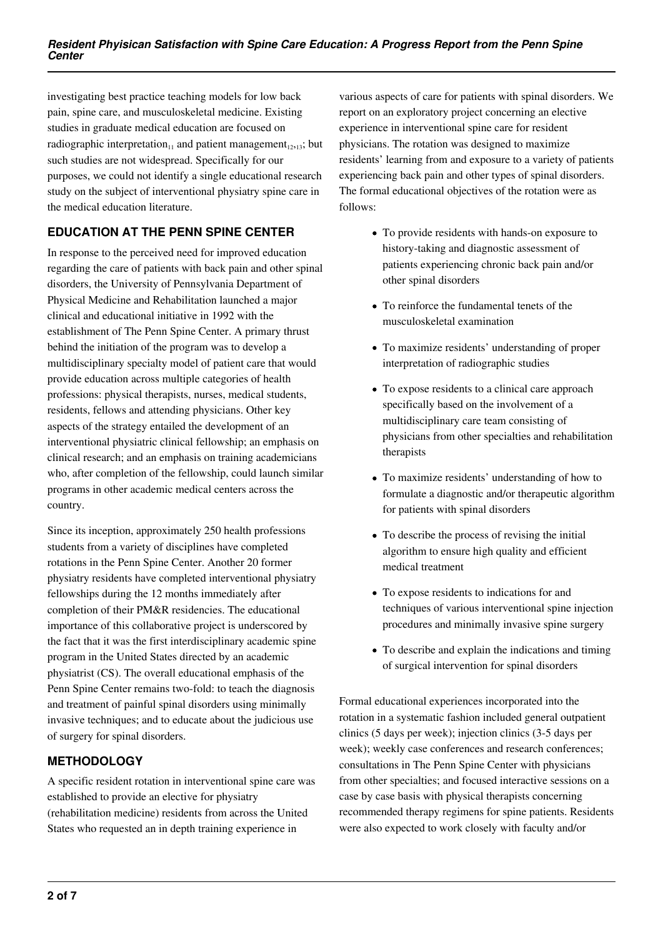investigating best practice teaching models for low back pain, spine care, and musculoskeletal medicine. Existing studies in graduate medical education are focused on radiographic interpretation<sub>11</sub> and patient management<sub>12,13</sub>; but such studies are not widespread. Specifically for our purposes, we could not identify a single educational research study on the subject of interventional physiatry spine care in the medical education literature.

# **EDUCATION AT THE PENN SPINE CENTER**

In response to the perceived need for improved education regarding the care of patients with back pain and other spinal disorders, the University of Pennsylvania Department of Physical Medicine and Rehabilitation launched a major clinical and educational initiative in 1992 with the establishment of The Penn Spine Center. A primary thrust behind the initiation of the program was to develop a multidisciplinary specialty model of patient care that would provide education across multiple categories of health professions: physical therapists, nurses, medical students, residents, fellows and attending physicians. Other key aspects of the strategy entailed the development of an interventional physiatric clinical fellowship; an emphasis on clinical research; and an emphasis on training academicians who, after completion of the fellowship, could launch similar programs in other academic medical centers across the country.

Since its inception, approximately 250 health professions students from a variety of disciplines have completed rotations in the Penn Spine Center. Another 20 former physiatry residents have completed interventional physiatry fellowships during the 12 months immediately after completion of their PM&R residencies. The educational importance of this collaborative project is underscored by the fact that it was the first interdisciplinary academic spine program in the United States directed by an academic physiatrist (CS). The overall educational emphasis of the Penn Spine Center remains two-fold: to teach the diagnosis and treatment of painful spinal disorders using minimally invasive techniques; and to educate about the judicious use of surgery for spinal disorders.

# **METHODOLOGY**

A specific resident rotation in interventional spine care was established to provide an elective for physiatry (rehabilitation medicine) residents from across the United States who requested an in depth training experience in

various aspects of care for patients with spinal disorders. We report on an exploratory project concerning an elective experience in interventional spine care for resident physicians. The rotation was designed to maximize residents' learning from and exposure to a variety of patients experiencing back pain and other types of spinal disorders. The formal educational objectives of the rotation were as follows:

- To provide residents with hands-on exposure to history-taking and diagnostic assessment of patients experiencing chronic back pain and/or other spinal disorders
- To reinforce the fundamental tenets of the musculoskeletal examination
- To maximize residents' understanding of proper interpretation of radiographic studies
- To expose residents to a clinical care approach specifically based on the involvement of a multidisciplinary care team consisting of physicians from other specialties and rehabilitation therapists
- To maximize residents' understanding of how to formulate a diagnostic and/or therapeutic algorithm for patients with spinal disorders
- To describe the process of revising the initial algorithm to ensure high quality and efficient medical treatment
- To expose residents to indications for and techniques of various interventional spine injection procedures and minimally invasive spine surgery
- To describe and explain the indications and timing of surgical intervention for spinal disorders

Formal educational experiences incorporated into the rotation in a systematic fashion included general outpatient clinics (5 days per week); injection clinics (3-5 days per week); weekly case conferences and research conferences; consultations in The Penn Spine Center with physicians from other specialties; and focused interactive sessions on a case by case basis with physical therapists concerning recommended therapy regimens for spine patients. Residents were also expected to work closely with faculty and/or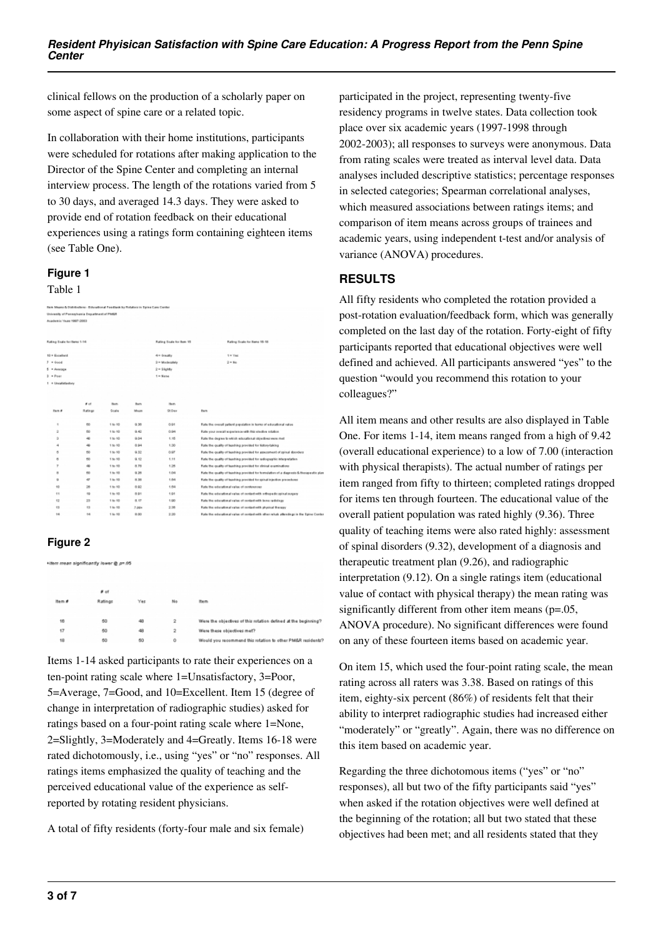clinical fellows on the production of a scholarly paper on some aspect of spine care or a related topic.

In collaboration with their home institutions, participants were scheduled for rotations after making application to the Director of the Spine Center and completing an internal interview process. The length of the rotations varied from 5 to 30 days, and averaged 14.3 days. They were asked to provide end of rotation feedback on their educational experiences using a ratings form containing eighteen items (see Table One).

## **Figure 1**

#### Table 1

|                             | New Mases & Distributions - Educational Feedback by Rolators in Spine Care Center |                 |              |                         |                                                                                        |  |
|-----------------------------|-----------------------------------------------------------------------------------|-----------------|--------------|-------------------------|----------------------------------------------------------------------------------------|--|
|                             | University of Pennsylvania Department of PMDR                                     |                 |              |                         |                                                                                        |  |
| Academic Visas: 1997-2003   |                                                                                   |                 |              |                         |                                                                                        |  |
|                             |                                                                                   |                 |              |                         |                                                                                        |  |
|                             |                                                                                   |                 |              |                         |                                                                                        |  |
| Raling Soals for Herns 1-14 |                                                                                   |                 |              | Rating Scale for Bem 15 | Rating Scale for Bens 10-18                                                            |  |
| 10 = Eucaliant              |                                                                                   |                 |              | 4= Greatly              | $1 = 1/46$                                                                             |  |
| $7 = 0.04$                  |                                                                                   | $2 =$ Mudetably | $2 = M_0$    |                         |                                                                                        |  |
| 5 = Average                 |                                                                                   |                 |              | $2 = 56$ cMTv           |                                                                                        |  |
| $\frac{1}{2}$ = Post        |                                                                                   | $t =$ Nane      |              |                         |                                                                                        |  |
| 1 = Unsatistastory          |                                                                                   |                 |              |                         |                                                                                        |  |
|                             |                                                                                   |                 |              |                         |                                                                                        |  |
|                             |                                                                                   |                 |              |                         |                                                                                        |  |
|                             | $B$ of                                                                            | Ham-            | <b>Barry</b> | item.                   |                                                                                        |  |
| HmH                         | Ratings                                                                           | Scale           | Mage         | SR Daw                  | <b>Barn</b>                                                                            |  |
|                             |                                                                                   |                 |              |                         |                                                                                        |  |
| ٠                           | 60                                                                                | $1 + 10$        | 9.36         | 0.91                    | Rate the overall patient population in terms of educational value                      |  |
| $\bar{z}$                   | 66                                                                                | 11010           | 9.42         | 0.94                    | Rate your overall experience with this elective rotation.                              |  |
| ğ,                          | æ                                                                                 | 11010           | 9.04         | 1.15                    | Rate the degree to which educational objectives were met                               |  |
| 4                           | 46                                                                                | $1 + 10$        | 0.94         | 1.00                    | Rate the quality of burching provided for history-taking                               |  |
| s                           | 60                                                                                | 1 to 10         | 9.32         | 0.97                    | Rate the quality of basching provided for assessment of spinal disorders               |  |
| 6                           | 60                                                                                | 1 to 10         | 9.92         | 4.44                    | Fishe the quality of basehing provided for radiographic interpretation                 |  |
| Ŧ                           | æ                                                                                 | 1 to 10         | 8.76         | 1,28                    | Fiate the quality of basehing provided for clinical examinations                       |  |
| ×                           | $rac{1}{2}$                                                                       | 1 to 10         | 0.26         | 4.04                    | Rate the quality of burching provided for formulation of a diagnosis & therapeutic pla |  |
| ü                           | œ                                                                                 | 14:10           | 8.38         | 1.54                    | Rate the quality of basehing provided for spinal injection preseduces                  |  |
| 10                          | 26                                                                                | 11010           | 0.92         | 1.64                    | Rate the educational value of conferences                                              |  |
| 44                          | 4D                                                                                | 1 to 10         | 8.91         | 1,01                    | Rate the educational value of contact with edhopedic spinal purgers                    |  |
| 12                          | 23                                                                                | 1 to 10         | 8.37         | 1.00                    | Fiate the educational value of contact with bone radiology                             |  |
| 43                          | 13                                                                                | 146.50          | 7,004        | 2.38                    | Rate the educational value of contact with physical therapy                            |  |
| 16                          | 14                                                                                | 14:10           | 8.00         | 2.20                    | Rate the educational value of contact with other reliab attendings in the Spine Cente  |  |

## **Figure 2**

.<br>Hitem mean significantly lower @ p=.05

|        | # of    |     |                |                                                                |
|--------|---------|-----|----------------|----------------------------------------------------------------|
| Item # | Ratings | Yes | No             | Item                                                           |
| 16     | 50      | 48  | $\overline{2}$ | Were the objectives of this rotation defined at the beginning? |
| 17     | 50      | 48  | $\mathbf{z}$   | Were these objectives met?                                     |
| 18     | 60      | 60  | $\circ$        | Would you recommend this rotation to other PM&R residents?     |

Items 1-14 asked participants to rate their experiences on a ten-point rating scale where 1=Unsatisfactory, 3=Poor, 5=Average, 7=Good, and 10=Excellent. Item 15 (degree of change in interpretation of radiographic studies) asked for ratings based on a four-point rating scale where 1=None, 2=Slightly, 3=Moderately and 4=Greatly. Items 16-18 were rated dichotomously, i.e., using "yes" or "no" responses. All ratings items emphasized the quality of teaching and the perceived educational value of the experience as selfreported by rotating resident physicians.

A total of fifty residents (forty-four male and six female)

participated in the project, representing twenty-five residency programs in twelve states. Data collection took place over six academic years (1997-1998 through 2002-2003); all responses to surveys were anonymous. Data from rating scales were treated as interval level data. Data analyses included descriptive statistics; percentage responses in selected categories; Spearman correlational analyses, which measured associations between ratings items; and comparison of item means across groups of trainees and academic years, using independent t-test and/or analysis of variance (ANOVA) procedures.

# **RESULTS**

All fifty residents who completed the rotation provided a post-rotation evaluation/feedback form, which was generally completed on the last day of the rotation. Forty-eight of fifty participants reported that educational objectives were well defined and achieved. All participants answered "yes" to the question "would you recommend this rotation to your colleagues?"

All item means and other results are also displayed in Table One. For items 1-14, item means ranged from a high of 9.42 (overall educational experience) to a low of 7.00 (interaction with physical therapists). The actual number of ratings per item ranged from fifty to thirteen; completed ratings dropped for items ten through fourteen. The educational value of the overall patient population was rated highly (9.36). Three quality of teaching items were also rated highly: assessment of spinal disorders (9.32), development of a diagnosis and therapeutic treatment plan (9.26), and radiographic interpretation (9.12). On a single ratings item (educational value of contact with physical therapy) the mean rating was significantly different from other item means (p=.05, ANOVA procedure). No significant differences were found on any of these fourteen items based on academic year.

On item 15, which used the four-point rating scale, the mean rating across all raters was 3.38. Based on ratings of this item, eighty-six percent (86%) of residents felt that their ability to interpret radiographic studies had increased either "moderately" or "greatly". Again, there was no difference on this item based on academic year.

Regarding the three dichotomous items ("yes" or "no" responses), all but two of the fifty participants said "yes" when asked if the rotation objectives were well defined at the beginning of the rotation; all but two stated that these objectives had been met; and all residents stated that they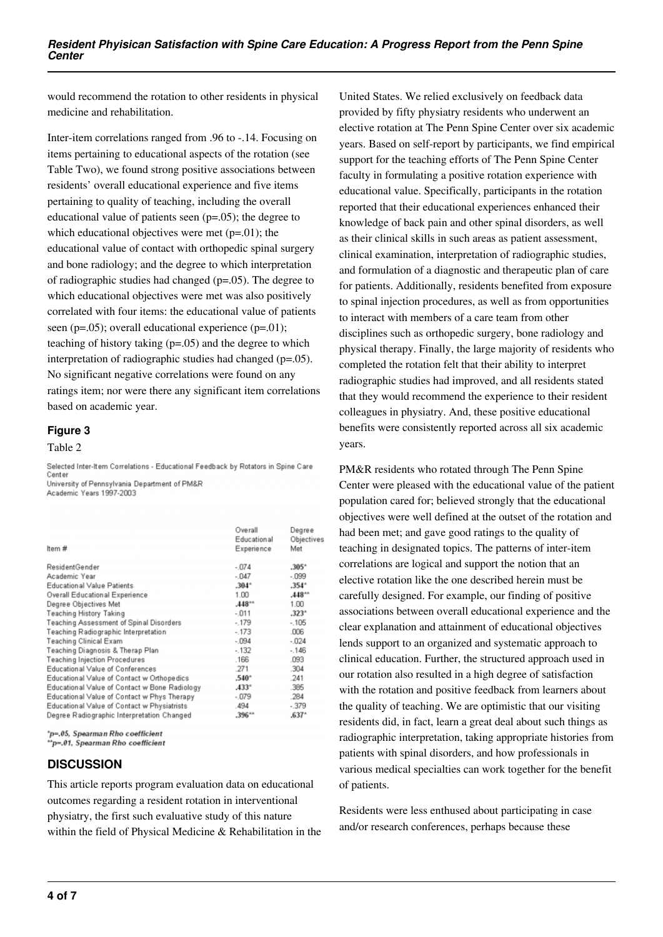would recommend the rotation to other residents in physical medicine and rehabilitation.

Inter-item correlations ranged from .96 to -.14. Focusing on items pertaining to educational aspects of the rotation (see Table Two), we found strong positive associations between residents' overall educational experience and five items pertaining to quality of teaching, including the overall educational value of patients seen (p=.05); the degree to which educational objectives were met  $(p=01)$ ; the educational value of contact with orthopedic spinal surgery and bone radiology; and the degree to which interpretation of radiographic studies had changed (p=.05). The degree to which educational objectives were met was also positively correlated with four items: the educational value of patients seen ( $p=0.05$ ); overall educational experience ( $p=0.01$ ); teaching of history taking (p=.05) and the degree to which interpretation of radiographic studies had changed (p=.05). No significant negative correlations were found on any ratings item; nor were there any significant item correlations based on academic year.

#### **Figure 3**

#### Table 2

Selected Inter-Item Correlations - Educational Feedback by Rotators in Spine Care Center University of Pennsylvania Department of PM&R

Academic Years 1997-2003

|                                               | Overall        | Degree     |
|-----------------------------------------------|----------------|------------|
|                                               | Educational    | Objective: |
| Item #                                        | Experience     | Met        |
| ResidentGender                                | $-.074$        | $.305*$    |
| Academic Year                                 | $-0.047$       | $-0.99$    |
| <b>Educational Value Patients</b>             | $.304*$        | $.354*$    |
| Overall Educational Experience                | 1.00           | $.448**$   |
| Degree Objectives Met                         | .448           | 1.00       |
| <b>Teaching History Taking</b>                | $-.011$        | $.323*$    |
| Teaching Assessment of Spinal Disorders       | $-179$         | $-105$     |
| Teaching Radiographic Interpretation          | $-173$         | .006       |
| Teaching Clinical Exam                        | $-0.94$        | $-024$     |
| Teaching Diagnosis & Therap Plan              | $-132$         | $-146$     |
| Teaching Injection Procedures                 | .166           | .093       |
| Educational Value of Conferences              | .271           | .304       |
| Educational Value of Contact w Orthopedics    | $.540^{\circ}$ | .241       |
| Educational Value of Contact w Bone Radiology | $.433*$        | .385       |
| Educational Value of Contact w Phys Therapy   | $-.079$        | .284       |
| Educational Value of Contact w Physiatrists   | .494           | $-379$     |
| Degree Radiographic Interpretation Changed    | $.396**$       | $.637*$    |
|                                               |                |            |

\*p=.05, Spearman Rho coefficient "p=.01, Spearman Rho coefficient

# **DISCUSSION**

This article reports program evaluation data on educational outcomes regarding a resident rotation in interventional physiatry, the first such evaluative study of this nature within the field of Physical Medicine & Rehabilitation in the

United States. We relied exclusively on feedback data provided by fifty physiatry residents who underwent an elective rotation at The Penn Spine Center over six academic years. Based on self-report by participants, we find empirical support for the teaching efforts of The Penn Spine Center faculty in formulating a positive rotation experience with educational value. Specifically, participants in the rotation reported that their educational experiences enhanced their knowledge of back pain and other spinal disorders, as well as their clinical skills in such areas as patient assessment, clinical examination, interpretation of radiographic studies, and formulation of a diagnostic and therapeutic plan of care for patients. Additionally, residents benefited from exposure to spinal injection procedures, as well as from opportunities to interact with members of a care team from other disciplines such as orthopedic surgery, bone radiology and physical therapy. Finally, the large majority of residents who completed the rotation felt that their ability to interpret radiographic studies had improved, and all residents stated that they would recommend the experience to their resident colleagues in physiatry. And, these positive educational benefits were consistently reported across all six academic years.

PM&R residents who rotated through The Penn Spine Center were pleased with the educational value of the patient population cared for; believed strongly that the educational objectives were well defined at the outset of the rotation and had been met; and gave good ratings to the quality of teaching in designated topics. The patterns of inter-item correlations are logical and support the notion that an elective rotation like the one described herein must be carefully designed. For example, our finding of positive associations between overall educational experience and the clear explanation and attainment of educational objectives lends support to an organized and systematic approach to clinical education. Further, the structured approach used in our rotation also resulted in a high degree of satisfaction with the rotation and positive feedback from learners about the quality of teaching. We are optimistic that our visiting residents did, in fact, learn a great deal about such things as radiographic interpretation, taking appropriate histories from patients with spinal disorders, and how professionals in various medical specialties can work together for the benefit of patients.

Residents were less enthused about participating in case and/or research conferences, perhaps because these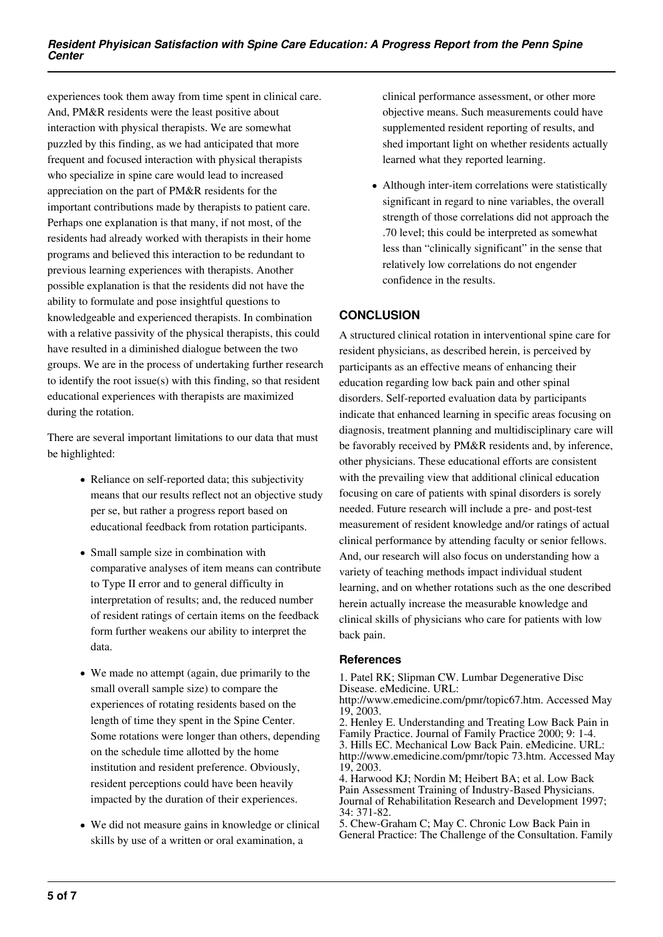experiences took them away from time spent in clinical care. And, PM&R residents were the least positive about interaction with physical therapists. We are somewhat puzzled by this finding, as we had anticipated that more frequent and focused interaction with physical therapists who specialize in spine care would lead to increased appreciation on the part of PM&R residents for the important contributions made by therapists to patient care. Perhaps one explanation is that many, if not most, of the residents had already worked with therapists in their home programs and believed this interaction to be redundant to previous learning experiences with therapists. Another possible explanation is that the residents did not have the ability to formulate and pose insightful questions to knowledgeable and experienced therapists. In combination with a relative passivity of the physical therapists, this could have resulted in a diminished dialogue between the two groups. We are in the process of undertaking further research to identify the root issue(s) with this finding, so that resident educational experiences with therapists are maximized during the rotation.

There are several important limitations to our data that must be highlighted:

- Reliance on self-reported data; this subjectivity means that our results reflect not an objective study per se, but rather a progress report based on educational feedback from rotation participants.
- Small sample size in combination with comparative analyses of item means can contribute to Type II error and to general difficulty in interpretation of results; and, the reduced number of resident ratings of certain items on the feedback form further weakens our ability to interpret the data.
- We made no attempt (again, due primarily to the small overall sample size) to compare the experiences of rotating residents based on the length of time they spent in the Spine Center. Some rotations were longer than others, depending on the schedule time allotted by the home institution and resident preference. Obviously, resident perceptions could have been heavily impacted by the duration of their experiences.
- We did not measure gains in knowledge or clinical skills by use of a written or oral examination, a

clinical performance assessment, or other more objective means. Such measurements could have supplemented resident reporting of results, and shed important light on whether residents actually learned what they reported learning.

Although inter-item correlations were statistically significant in regard to nine variables, the overall strength of those correlations did not approach the .70 level; this could be interpreted as somewhat less than "clinically significant" in the sense that relatively low correlations do not engender confidence in the results.

# **CONCLUSION**

A structured clinical rotation in interventional spine care for resident physicians, as described herein, is perceived by participants as an effective means of enhancing their education regarding low back pain and other spinal disorders. Self-reported evaluation data by participants indicate that enhanced learning in specific areas focusing on diagnosis, treatment planning and multidisciplinary care will be favorably received by PM&R residents and, by inference, other physicians. These educational efforts are consistent with the prevailing view that additional clinical education focusing on care of patients with spinal disorders is sorely needed. Future research will include a pre- and post-test measurement of resident knowledge and/or ratings of actual clinical performance by attending faculty or senior fellows. And, our research will also focus on understanding how a variety of teaching methods impact individual student learning, and on whether rotations such as the one described herein actually increase the measurable knowledge and clinical skills of physicians who care for patients with low back pain.

#### **References**

1. Patel RK; Slipman CW. Lumbar Degenerative Disc Disease. eMedicine. URL:

http://www.emedicine.com/pmr/topic67.htm. Accessed May 19, 2003.

2. Henley E. Understanding and Treating Low Back Pain in Family Practice. Journal of Family Practice 2000; 9: 1-4. 3. Hills EC. Mechanical Low Back Pain. eMedicine. URL: http://www.emedicine.com/pmr/topic 73.htm. Accessed May 19, 2003.

4. Harwood KJ; Nordin M; Heibert BA; et al. Low Back Pain Assessment Training of Industry-Based Physicians. Journal of Rehabilitation Research and Development 1997; 34: 371-82.

5. Chew-Graham C; May C. Chronic Low Back Pain in General Practice: The Challenge of the Consultation. Family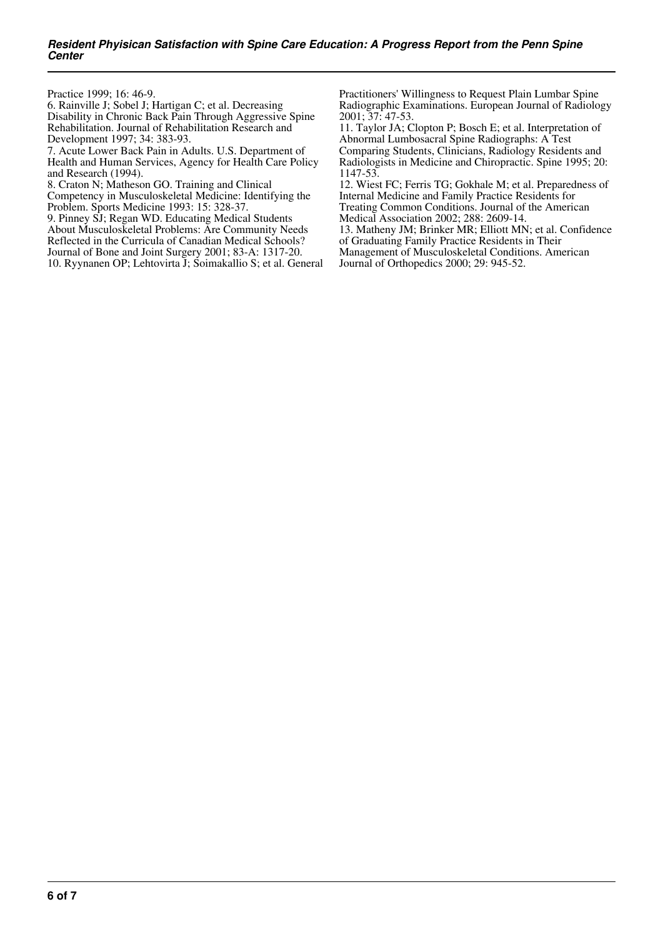Practice 1999; 16: 46-9.

6. Rainville J; Sobel J; Hartigan C; et al. Decreasing Disability in Chronic Back Pain Through Aggressive Spine Rehabilitation. Journal of Rehabilitation Research and Development 1997; 34: 383-93.

7. Acute Lower Back Pain in Adults. U.S. Department of Health and Human Services, Agency for Health Care Policy and Research (1994).

8. Craton N; Matheson GO. Training and Clinical

Competency in Musculoskeletal Medicine: Identifying the Problem. Sports Medicine 1993: 15: 328-37.

9. Pinney SJ; Regan WD. Educating Medical Students About Musculoskeletal Problems: Are Community Needs Reflected in the Curricula of Canadian Medical Schools? Journal of Bone and Joint Surgery 2001; 83-A: 1317-20.

10. Ryynanen OP; Lehtovirta J; Soimakallio S; et al. General

Practitioners' Willingness to Request Plain Lumbar Spine Radiographic Examinations. European Journal of Radiology 2001; 37: 47-53.

11. Taylor JA; Clopton P; Bosch E; et al. Interpretation of Abnormal Lumbosacral Spine Radiographs: A Test Comparing Students, Clinicians, Radiology Residents and Radiologists in Medicine and Chiropractic. Spine 1995; 20: 1147-53.

12. Wiest FC; Ferris TG; Gokhale M; et al. Preparedness of Internal Medicine and Family Practice Residents for Treating Common Conditions. Journal of the American Medical Association 2002; 288: 2609-14.

13. Matheny JM; Brinker MR; Elliott MN; et al. Confidence of Graduating Family Practice Residents in Their

Management of Musculoskeletal Conditions. American Journal of Orthopedics 2000; 29: 945-52.